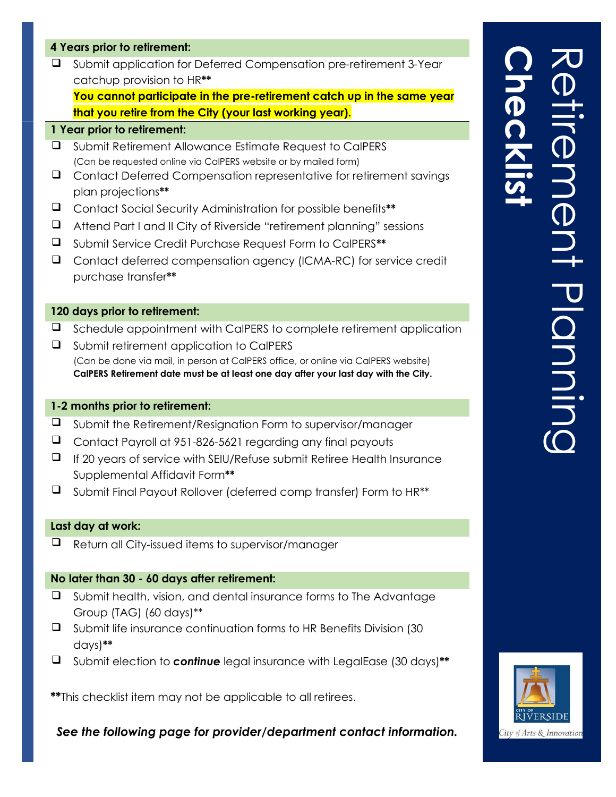## **4 Years prior to retirement:**

❑ Submit application for Deferred Compensation pre-retirement 3-Year catchup provision to HR**\*\***

**You cannot participate in the pre-retirement catch up in the same year that you retire from the City (your last working year).** 

## **1 Year prior to retirement:**

- ❑ Submit Retirement Allowance Estimate Request to CalPERS (Can be requested online via CalPERS website or by mailed form)
- ❑ Contact Deferred Compensation representative for retirement savings plan projections**\*\***
- ❑ Contact Social Security Administration for possible benefits**\*\***
- ❑ Attend Part I and II City of Riverside "retirement planning" sessions
- ❑ Submit Service Credit Purchase Request Form to CalPERS**\*\***
- ❑ Contact deferred compensation agency (ICMA-RC) for service credit purchase transfer**\*\***

## **120 days prior to retirement:**

- ❑ Schedule appointment with CalPERS to complete retirement application
- ❑ Submit retirement application to CalPERS (Can be done via mail, in person at CalPERS office, or online via CalPERS website) **CalPERS Retirement date must be at least one day after your last day with the City.**

## **1-2 months prior to retirement:**

- ❑ Submit the Retirement/Resignation Form to supervisor/manager
- ❑ Contact Payroll at 951-826-5621 regarding any final payouts
- ❑ If 20 years of service with SEIU/Refuse submit Retiree Health Insurance Supplemental Affidavit Form**\*\***
- ❑ Submit Final Payout Rollover (deferred comp transfer) Form to HR\*\*

## **Last day at work:**

❑ Return all City-issued items to supervisor/manager

#### **No later than 30 - 60 days after retirement:**

- ❑ Submit health, vision, and dental insurance forms to The Advantage Group (TAG) (60 days)\*\*
- ❑ Submit life insurance continuation forms to HR Benefits Division (30 days)**\*\***
- ❑ Submit election to *continue* legal insurance with LegalEase (30 days)**\*\***

**\*\***This checklist item may not be applicable to all retirees.

*See the following page for provider/department contact information.*